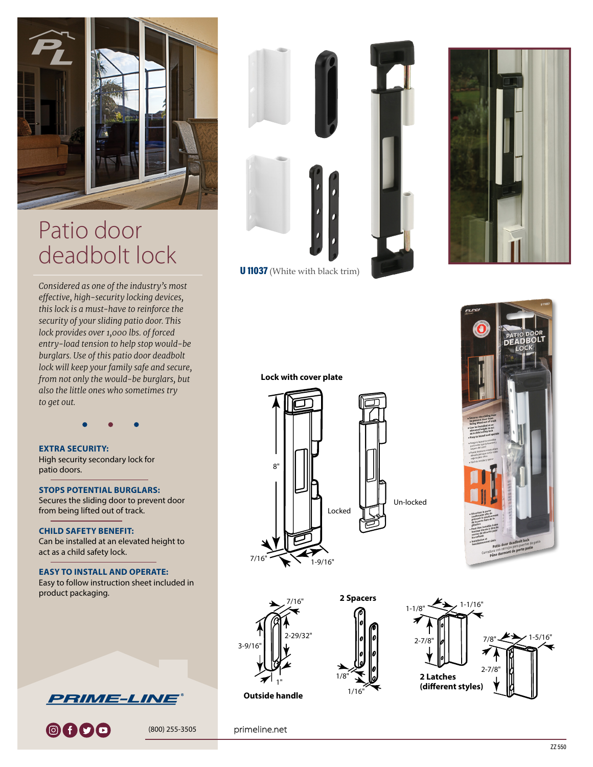

## Patio door deadbolt lock

*Considered as one of the industry's most effective, high-security locking devices, this lock is a must-have to reinforce the security of your sliding patio door. This lock provides over 1,000 lbs. of forced entry-load tension to help stop would-be burglars. Use of this patio door deadbolt lock will keep your family safe and secure, from not only the would-be burglars, but also the little ones who sometimes try to get out.*

## **EXTRA SECURITY:** High security secondary lock for patio doors.

**STOPS POTENTIAL BURGLARS:** Secures the sliding door to prevent door from being lifted out of track.

**CHILD SAFETY BENEFIT:** Can be installed at an elevated height to act as a child safety lock.

**EASY TO INSTALL AND OPERATE:** Easy to follow instruction sheet included in product packaging.



0000

(800) 255-3505





U 11037 (White with black trim)







Un-locked



**Lock with cover plate**